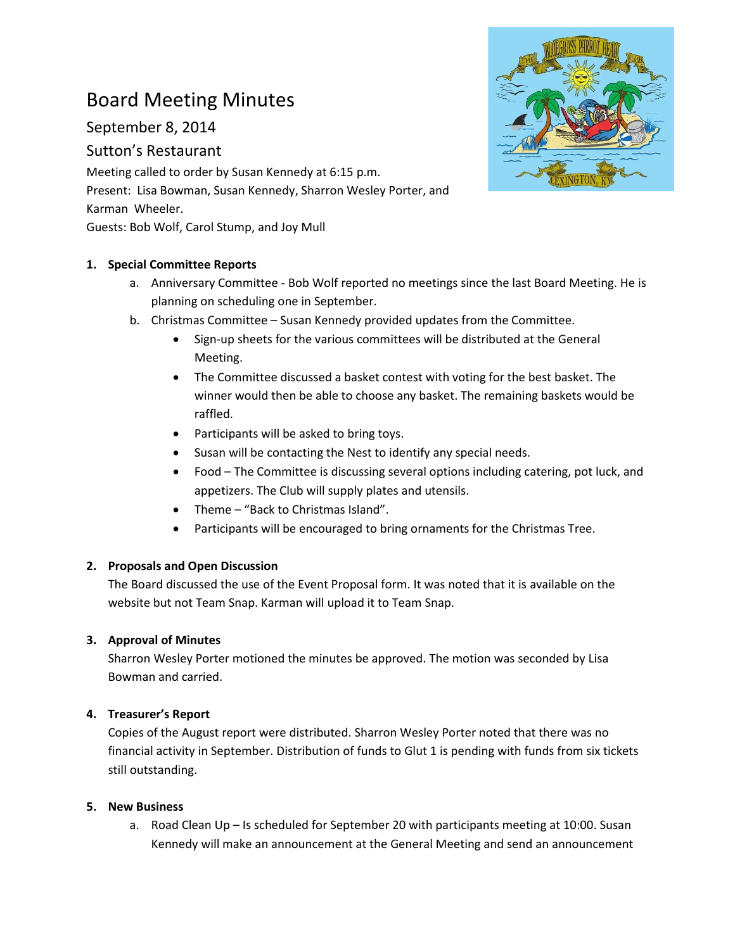# Board Meeting Minutes

September 8, 2014

# Sutton's Restaurant

Meeting called to order by Susan Kennedy at 6:15 p.m. Present: Lisa Bowman, Susan Kennedy, Sharron Wesley Porter, and Karman Wheeler. Guests: Bob Wolf, Carol Stump, and Joy Mull

## **1. Special Committee Reports**

- a. Anniversary Committee Bob Wolf reported no meetings since the last Board Meeting. He is planning on scheduling one in September.
- b. Christmas Committee Susan Kennedy provided updates from the Committee.
	- Sign-up sheets for the various committees will be distributed at the General Meeting.
	- The Committee discussed a basket contest with voting for the best basket. The winner would then be able to choose any basket. The remaining baskets would be raffled.
	- Participants will be asked to bring toys.
	- Susan will be contacting the Nest to identify any special needs.
	- Food The Committee is discussing several options including catering, pot luck, and appetizers. The Club will supply plates and utensils.
	- Theme "Back to Christmas Island".
	- Participants will be encouraged to bring ornaments for the Christmas Tree.

### **2. Proposals and Open Discussion**

The Board discussed the use of the Event Proposal form. It was noted that it is available on the website but not Team Snap. Karman will upload it to Team Snap.

# **3. Approval of Minutes**

Sharron Wesley Porter motioned the minutes be approved. The motion was seconded by Lisa Bowman and carried.

### **4. Treasurer's Report**

Copies of the August report were distributed. Sharron Wesley Porter noted that there was no financial activity in September. Distribution of funds to Glut 1 is pending with funds from six tickets still outstanding.

### **5. New Business**

a. Road Clean Up – Is scheduled for September 20 with participants meeting at 10:00. Susan Kennedy will make an announcement at the General Meeting and send an announcement

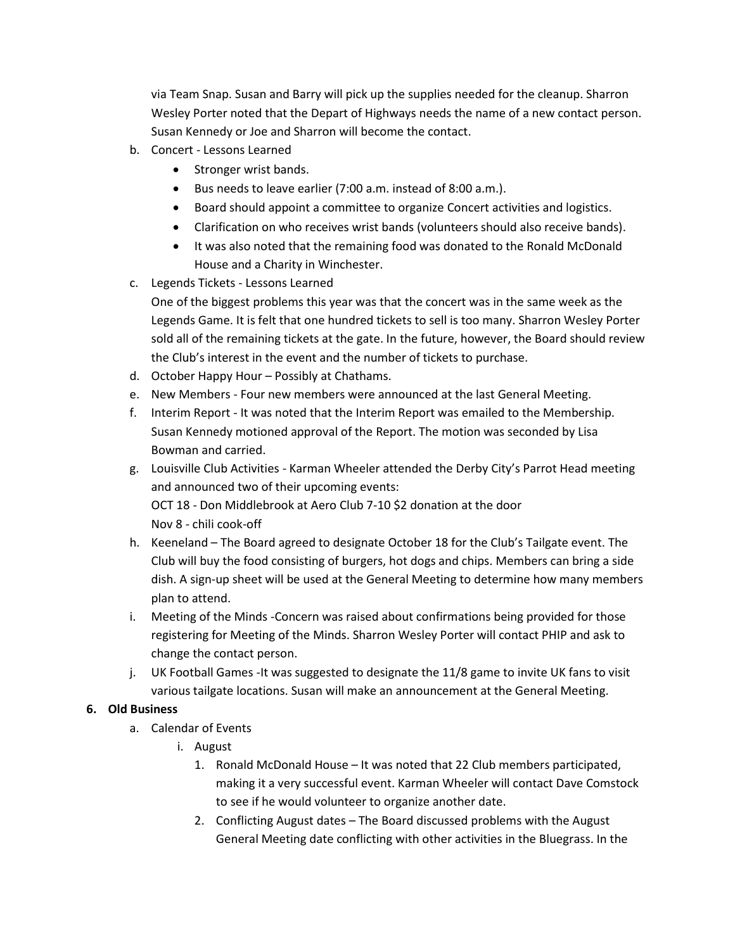via Team Snap. Susan and Barry will pick up the supplies needed for the cleanup. Sharron Wesley Porter noted that the Depart of Highways needs the name of a new contact person. Susan Kennedy or Joe and Sharron will become the contact.

- b. Concert Lessons Learned
	- Stronger wrist bands.
	- Bus needs to leave earlier (7:00 a.m. instead of 8:00 a.m.).
	- Board should appoint a committee to organize Concert activities and logistics.
	- Clarification on who receives wrist bands (volunteers should also receive bands).
	- It was also noted that the remaining food was donated to the Ronald McDonald House and a Charity in Winchester.
- c. Legends Tickets Lessons Learned
	- One of the biggest problems this year was that the concert was in the same week as the Legends Game. It is felt that one hundred tickets to sell is too many. Sharron Wesley Porter sold all of the remaining tickets at the gate. In the future, however, the Board should review the Club's interest in the event and the number of tickets to purchase.
- d. October Happy Hour Possibly at Chathams.
- e. New Members Four new members were announced at the last General Meeting.
- f. Interim Report It was noted that the Interim Report was emailed to the Membership. Susan Kennedy motioned approval of the Report. The motion was seconded by Lisa Bowman and carried.
- g. Louisville Club Activities Karman Wheeler attended the Derby City's Parrot Head meeting and announced two of their upcoming events: OCT 18 - Don Middlebrook at Aero Club 7-10 \$2 donation at the door Nov 8 - chili cook-off
- h. Keeneland The Board agreed to designate October 18 for the Club's Tailgate event. The Club will buy the food consisting of burgers, hot dogs and chips. Members can bring a side dish. A sign-up sheet will be used at the General Meeting to determine how many members plan to attend.
- i. Meeting of the Minds -Concern was raised about confirmations being provided for those registering for Meeting of the Minds. Sharron Wesley Porter will contact PHIP and ask to change the contact person.
- j. UK Football Games -It was suggested to designate the 11/8 game to invite UK fans to visit various tailgate locations. Susan will make an announcement at the General Meeting.

#### **6. Old Business**

- a. Calendar of Events
	- i. August
		- 1. Ronald McDonald House It was noted that 22 Club members participated, making it a very successful event. Karman Wheeler will contact Dave Comstock to see if he would volunteer to organize another date.
		- 2. Conflicting August dates The Board discussed problems with the August General Meeting date conflicting with other activities in the Bluegrass. In the